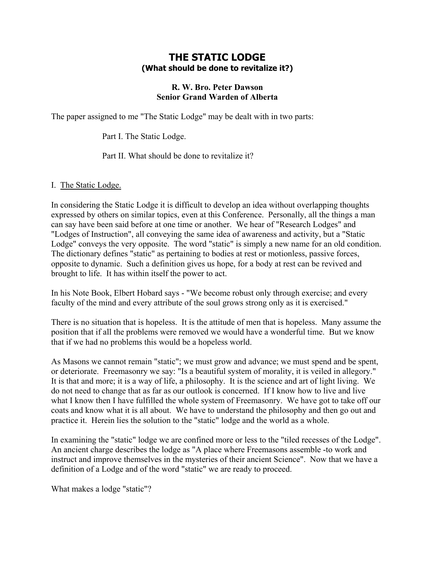## **THE STATIC LODGE (What should be done to revitalize it?)**

## **R. W. Bro. Peter Dawson Senior Grand Warden of Alberta**

The paper assigned to me "The Static Lodge" may be dealt with in two parts:

Part I. The Static Lodge.

Part II. What should be done to revitalize it?

## I. The Static Lodge.

In considering the Static Lodge it is difficult to develop an idea without overlapping thoughts expressed by others on similar topics, even at this Conference. Personally, all the things a man can say have been said before at one time or another. We hear of "Research Lodges" and "Lodges of Instruction", all conveying the same idea of awareness and activity, but a "Static Lodge" conveys the very opposite. The word "static" is simply a new name for an old condition. The dictionary defines "static" as pertaining to bodies at rest or motionless, passive forces, opposite to dynamic. Such a definition gives us hope, for a body at rest can be revived and brought to life. It has within itself the power to act.

In his Note Book, Elbert Hobard says - "We become robust only through exercise; and every faculty of the mind and every attribute of the soul grows strong only as it is exercised."

There is no situation that is hopeless. It is the attitude of men that is hopeless. Many assume the position that if all the problems were removed we would have a wonderful time. But we know that if we had no problems this would be a hopeless world.

As Masons we cannot remain "static"; we must grow and advance; we must spend and be spent, or deteriorate. Freemasonry we say: "Is a beautiful system of morality, it is veiled in allegory." It is that and more; it is a way of life, a philosophy. It is the science and art of light living. We do not need to change that as far as our outlook is concerned. If I know how to live and live what I know then I have fulfilled the whole system of Freemasonry. We have got to take off our coats and know what it is all about. We have to understand the philosophy and then go out and practice it. Herein lies the solution to the "static" lodge and the world as a whole.

In examining the "static" lodge we are confined more or less to the "tiled recesses of the Lodge". An ancient charge describes the lodge as "A place where Freemasons assemble -to work and instruct and improve themselves in the mysteries of their ancient Science". Now that we have a definition of a Lodge and of the word "static" we are ready to proceed.

What makes a lodge "static"?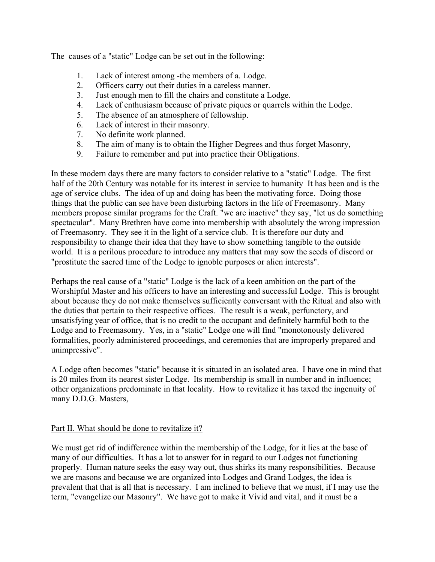The causes of a "static" Lodge can be set out in the following:

- 1. Lack of interest among -the members of a. Lodge.
- 2. Officers carry out their duties in a careless manner.
- 3. Just enough men to fill the chairs and constitute a Lodge.
- 4. Lack of enthusiasm because of private piques or quarrels within the Lodge.
- 5. The absence of an atmosphere of fellowship.
- 6. Lack of interest in their masonry.
- 7. No definite work planned.
- 8. The aim of many is to obtain the Higher Degrees and thus forget Masonry,
- 9. Failure to remember and put into practice their Obligations.

In these modern days there are many factors to consider relative to a "static" Lodge. The first half of the 20th Century was notable for its interest in service to humanity It has been and is the age of service clubs. The idea of up and doing has been the motivating force. Doing those things that the public can see have been disturbing factors in the life of Freemasonry. Many members propose similar programs for the Craft. "we are inactive" they say, "let us do something spectacular". Many Brethren have come into membership with absolutely the wrong impression of Freemasonry. They see it in the light of a service club. It is therefore our duty and responsibility to change their idea that they have to show something tangible to the outside world. It is a perilous procedure to introduce any matters that may sow the seeds of discord or "prostitute the sacred time of the Lodge to ignoble purposes or alien interests".

Perhaps the real cause of a "static" Lodge is the lack of a keen ambition on the part of the Worshipful Master and his officers to have an interesting and successful Lodge. This is brought about because they do not make themselves sufficiently conversant with the Ritual and also with the duties that pertain to their respective offices. The result is a weak, perfunctory, and unsatisfying year of office, that is no credit to the occupant and definitely harmful both to the Lodge and to Freemasonry. Yes, in a "static" Lodge one will find "monotonously delivered formalities, poorly administered proceedings, and ceremonies that are improperly prepared and unimpressive".

A Lodge often becomes "static" because it is situated in an isolated area. I have one in mind that is 20 miles from its nearest sister Lodge. Its membership is small in number and in influence; other organizations predominate in that locality. How to revitalize it has taxed the ingenuity of many D.D.G. Masters,

## Part II. What should be done to revitalize it?

We must get rid of indifference within the membership of the Lodge, for it lies at the base of many of our difficulties. It has a lot to answer for in regard to our Lodges not functioning properly. Human nature seeks the easy way out, thus shirks its many responsibilities. Because we are masons and because we are organized into Lodges and Grand Lodges, the idea is prevalent that that is all that is necessary. I am inclined to believe that we must, if I may use the term, "evangelize our Masonry". We have got to make it Vivid and vital, and it must be a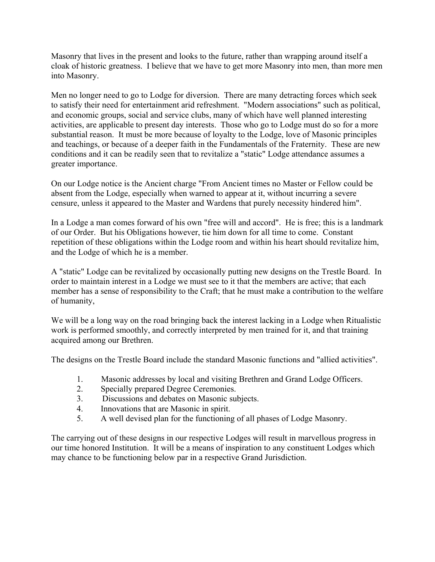Masonry that lives in the present and looks to the future, rather than wrapping around itself a cloak of historic greatness. I believe that we have to get more Masonry into men, than more men into Masonry.

Men no longer need to go to Lodge for diversion. There are many detracting forces which seek to satisfy their need for entertainment arid refreshment. "Modern associations" such as political, and economic groups, social and service clubs, many of which have well planned interesting activities, are applicable to present day interests. Those who go to Lodge must do so for a more substantial reason. It must be more because of loyalty to the Lodge, love of Masonic principles and teachings, or because of a deeper faith in the Fundamentals of the Fraternity. These are new conditions and it can be readily seen that to revitalize a "static" Lodge attendance assumes a greater importance.

On our Lodge notice is the Ancient charge "From Ancient times no Master or Fellow could be absent from the Lodge, especially when warned to appear at it, without incurring a severe censure, unless it appeared to the Master and Wardens that purely necessity hindered him".

In a Lodge a man comes forward of his own "free will and accord". He is free; this is a landmark of our Order. But his Obligations however, tie him down for all time to come. Constant repetition of these obligations within the Lodge room and within his heart should revitalize him, and the Lodge of which he is a member.

A "static" Lodge can be revitalized by occasionally putting new designs on the Trestle Board. In order to maintain interest in a Lodge we must see to it that the members are active; that each member has a sense of responsibility to the Craft; that he must make a contribution to the welfare of humanity,

We will be a long way on the road bringing back the interest lacking in a Lodge when Ritualistic work is performed smoothly, and correctly interpreted by men trained for it, and that training acquired among our Brethren.

The designs on the Trestle Board include the standard Masonic functions and "allied activities".

- 1. Masonic addresses by local and visiting Brethren and Grand Lodge Officers.
- 2. Specially prepared Degree Ceremonies.
- 3. Discussions and debates on Masonic subjects.
- 4. Innovations that are Masonic in spirit.
- 5. A well devised plan for the functioning of all phases of Lodge Masonry.

The carrying out of these designs in our respective Lodges will result in marvellous progress in our time honored Institution. It will be a means of inspiration to any constituent Lodges which may chance to be functioning below par in a respective Grand Jurisdiction.